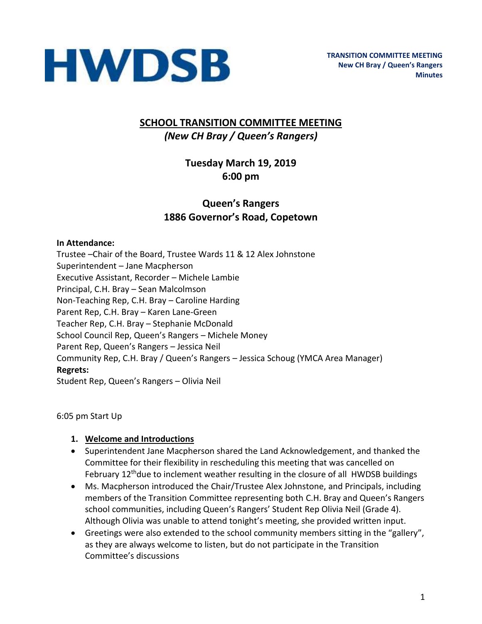

### **SCHOOL TRANSITION COMMITTEE MEETING** *(New CH Bray / Queen's Rangers)*

## **Tuesday March 19, 2019 6:00 pm**

### **Queen's Rangers 1886 Governor's Road, Copetown**

#### **In Attendance:**

Trustee –Chair of the Board, Trustee Wards 11 & 12 Alex Johnstone Superintendent – Jane Macpherson Executive Assistant, Recorder – Michele Lambie Principal, C.H. Bray – Sean Malcolmson Non-Teaching Rep, C.H. Bray – Caroline Harding Parent Rep, C.H. Bray – Karen Lane-Green Teacher Rep, C.H. Bray – Stephanie McDonald School Council Rep, Queen's Rangers – Michele Money Parent Rep, Queen's Rangers – Jessica Neil Community Rep, C.H. Bray / Queen's Rangers – Jessica Schoug (YMCA Area Manager) **Regrets:**  Student Rep, Queen's Rangers – Olivia Neil

6:05 pm Start Up

#### **1. Welcome and Introductions**

- Superintendent Jane Macpherson shared the Land Acknowledgement, and thanked the Committee for their flexibility in rescheduling this meeting that was cancelled on February  $12<sup>th</sup>$ due to inclement weather resulting in the closure of all HWDSB buildings
- Ms. Macpherson introduced the Chair/Trustee Alex Johnstone, and Principals, including members of the Transition Committee representing both C.H. Bray and Queen's Rangers school communities, including Queen's Rangers' Student Rep Olivia Neil (Grade 4). Although Olivia was unable to attend tonight's meeting, she provided written input.
- Greetings were also extended to the school community members sitting in the "gallery", as they are always welcome to listen, but do not participate in the Transition Committee's discussions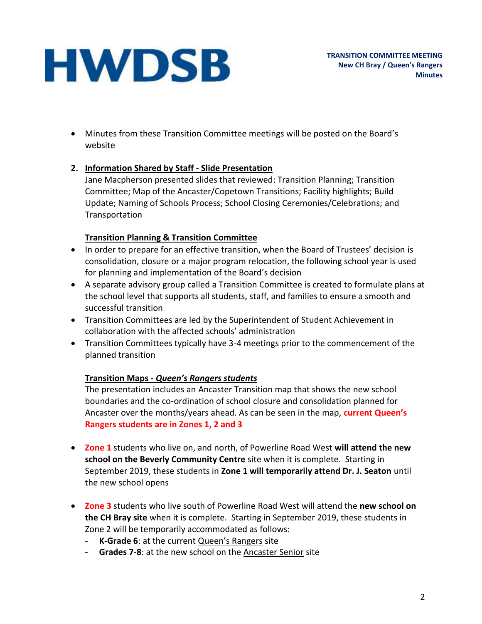• Minutes from these Transition Committee meetings will be posted on the Board's website

#### **2. Information Shared by Staff - Slide Presentation**

Jane Macpherson presented slides that reviewed: Transition Planning; Transition Committee; Map of the Ancaster/Copetown Transitions; Facility highlights; Build Update; Naming of Schools Process; School Closing Ceremonies/Celebrations; and **Transportation** 

#### **Transition Planning & Transition Committee**

- In order to prepare for an effective transition, when the Board of Trustees' decision is consolidation, closure or a major program relocation, the following school year is used for planning and implementation of the Board's decision
- A separate advisory group called a Transition Committee is created to formulate plans at the school level that supports all students, staff, and families to ensure a smooth and successful transition
- Transition Committees are led by the Superintendent of Student Achievement in collaboration with the affected schools' administration
- Transition Committees typically have 3-4 meetings prior to the commencement of the planned transition

### **Transition Maps -** *Queen's Rangers students*

The presentation includes an Ancaster Transition map that shows the new school boundaries and the co-ordination of school closure and consolidation planned for Ancaster over the months/years ahead. As can be seen in the map, **current Queen's Rangers students are in Zones 1, 2 and 3**

- **Zone 1** students who live on, and north, of Powerline Road West **will attend the new school on the Beverly Community Centre** site when it is complete. Starting in September 2019, these students in **Zone 1 will temporarily attend Dr. J. Seaton** until the new school opens
- **Zone 3** students who live south of Powerline Road West will attend the **new school on the CH Bray site** when it is complete. Starting in September 2019, these students in Zone 2 will be temporarily accommodated as follows:
	- **- K-Grade 6**: at the current Queen's Rangers site
	- **- Grades 7-8**: at the new school on the Ancaster Senior site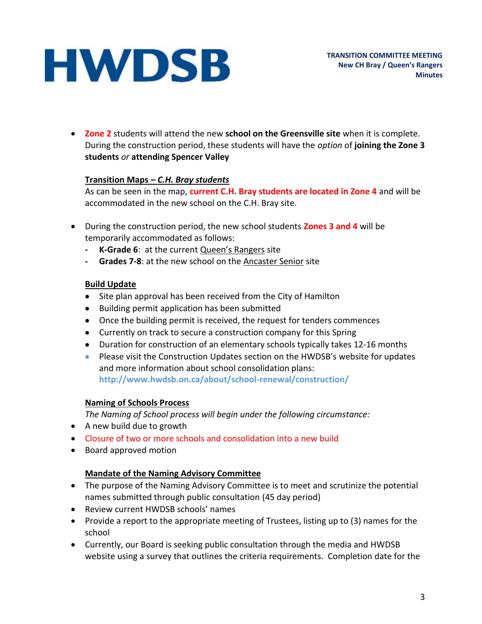• **Zone 2** students will attend the new **school on the Greensville site** when it is complete. During the construction period, these students will have the *option* of **joining the Zone 3 students** *or* **attending Spencer Valley**

#### **Transition Maps** *– C.H. Bray students*

As can be seen in the map, **current C.H. Bray students are located in Zone 4** and will be accommodated in the new school on the C.H. Bray site.

- During the construction period, the new school students **Zones 3 and 4** will be temporarily accommodated as follows:
	- **- K-Grade 6**: at the current Queen's Rangers site
	- **- Grades 7-8**: at the new school on the Ancaster Senior site

#### **Build Update**

- Site plan approval has been received from the City of Hamilton
- Building permit application has been submitted
- Once the building permit is received, the request for tenders commences
- Currently on track to secure a construction company for this Spring
- Duration for construction of an elementary schools typically takes 12-16 months
- Please visit the Construction Updates section on the HWDSB's website for updates and more information about school consolidation plans: **http://www.hwdsb.on.ca/about/school-renewal/construction/**

#### **Naming of Schools Process**

*The Naming of School process will begin under the following circumstance:*

- A new build due to growth
- Closure of two or more schools and consolidation into a new build
- Board approved motion

#### **Mandate of the Naming Advisory Committee**

- The purpose of the Naming Advisory Committee is to meet and scrutinize the potential names submitted through public consultation (45 day period)
- Review current HWDSB schools' names
- Provide a report to the appropriate meeting of Trustees, listing up to (3) names for the school
- Currently, our Board is seeking public consultation through the media and HWDSB website using a survey that outlines the criteria requirements. Completion date for the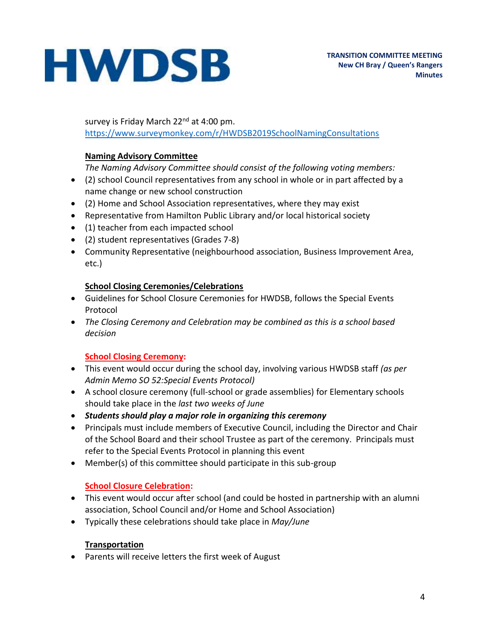survey is Friday March 22<sup>nd</sup> at 4:00 pm. <https://www.surveymonkey.com/r/HWDSB2019SchoolNamingConsultations>

#### **Naming Advisory Committee**

*The Naming Advisory Committee should consist of the following voting members:*

- (2) school Council representatives from any school in whole or in part affected by a name change or new school construction
- (2) Home and School Association representatives, where they may exist
- Representative from Hamilton Public Library and/or local historical society
- (1) teacher from each impacted school
- (2) student representatives (Grades 7-8)
- Community Representative (neighbourhood association, Business Improvement Area, etc.)

#### **School Closing Ceremonies/Celebrations**

- Guidelines for School Closure Ceremonies for HWDSB, follows the Special Events Protocol
- *The Closing Ceremony and Celebration may be combined as this is a school based decision*

#### **School Closing Ceremony:**

- This event would occur during the school day, involving various HWDSB staff *(as per Admin Memo SO 52:Special Events Protocol)*
- A school closure ceremony (full-school or grade assemblies) for Elementary schools should take place in the *last two weeks of June*
- *Students should play a major role in organizing this ceremony*
- Principals must include members of Executive Council, including the Director and Chair of the School Board and their school Trustee as part of the ceremony. Principals must refer to the Special Events Protocol in planning this event
- Member(s) of this committee should participate in this sub-group

#### **School Closure Celebration:**

- This event would occur after school (and could be hosted in partnership with an alumni association, School Council and/or Home and School Association)
- Typically these celebrations should take place in *May/June*

#### **Transportation**

• Parents will receive letters the first week of August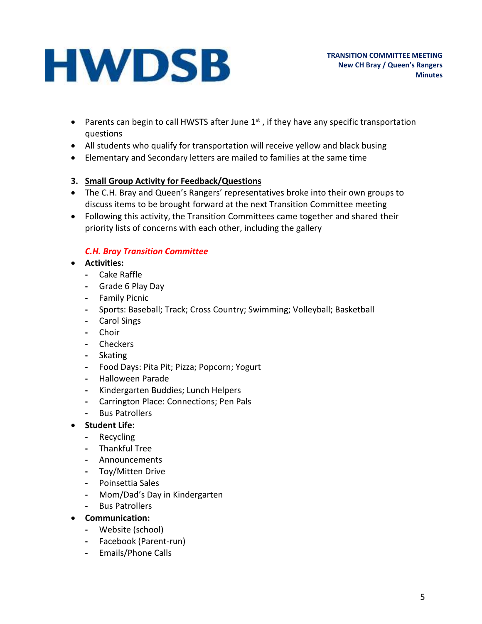- Parents can begin to call HWSTS after June  $1<sup>st</sup>$ , if they have any specific transportation questions
- All students who qualify for transportation will receive yellow and black busing
- Elementary and Secondary letters are mailed to families at the same time

#### **3. Small Group Activity for Feedback/Questions**

- The C.H. Bray and Queen's Rangers' representatives broke into their own groups to discuss items to be brought forward at the next Transition Committee meeting
- Following this activity, the Transition Committees came together and shared their priority lists of concerns with each other, including the gallery

#### *C.H. Bray Transition Committee*

- **Activities:**
	- **-** Cake Raffle
	- **-** Grade 6 Play Day
	- **-** Family Picnic
	- **-** Sports: Baseball; Track; Cross Country; Swimming; Volleyball; Basketball
	- **-** Carol Sings
	- **-** Choir
	- **-** Checkers
	- **-** Skating
	- **-** Food Days: Pita Pit; Pizza; Popcorn; Yogurt
	- **-** Halloween Parade
	- **-** Kindergarten Buddies; Lunch Helpers
	- **-** Carrington Place: Connections; Pen Pals
	- **-** Bus Patrollers
- **Student Life:**
	- **-** Recycling
	- **-** Thankful Tree
	- **-** Announcements
	- **-** Toy/Mitten Drive
	- **-** Poinsettia Sales
	- **-** Mom/Dad's Day in Kindergarten
	- **-** Bus Patrollers
- **Communication:**
	- **-** Website (school)
	- **-** Facebook (Parent-run)
	- **-** Emails/Phone Calls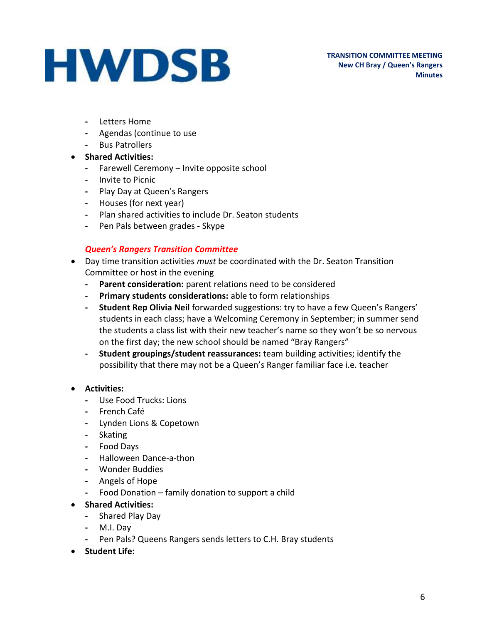- **-** Letters Home
- **-** Agendas (continue to use
- **-** Bus Patrollers
- **Shared Activities:**
	- **-** Farewell Ceremony Invite opposite school
	- **-** Invite to Picnic
	- **-** Play Day at Queen's Rangers
	- **-** Houses (for next year)
	- **-** Plan shared activities to include Dr. Seaton students
	- **-** Pen Pals between grades Skype

#### *Queen's Rangers Transition Committee*

- Day time transition activities *must* be coordinated with the Dr. Seaton Transition Committee or host in the evening
	- **- Parent consideration:** parent relations need to be considered
	- **- Primary students considerations:** able to form relationships
	- **- Student Rep Olivia Neil** forwarded suggestions: try to have a few Queen's Rangers' students in each class; have a Welcoming Ceremony in September; in summer send the students a class list with their new teacher's name so they won't be so nervous on the first day; the new school should be named "Bray Rangers"
	- **- Student groupings/student reassurances:** team building activities; identify the possibility that there may not be a Queen's Ranger familiar face i.e. teacher

#### • **Activities:**

- **-** Use Food Trucks: Lions
- **-** French Café
- **-** Lynden Lions & Copetown
- **-** Skating
- **-** Food Days
- **-** Halloween Dance-a-thon
- **-** Wonder Buddies
- **-** Angels of Hope
- **-** Food Donation family donation to support a child

#### • **Shared Activities:**

- **-** Shared Play Day
- **-** M.I. Day
- **-** Pen Pals? Queens Rangers sends letters to C.H. Bray students
- **Student Life:**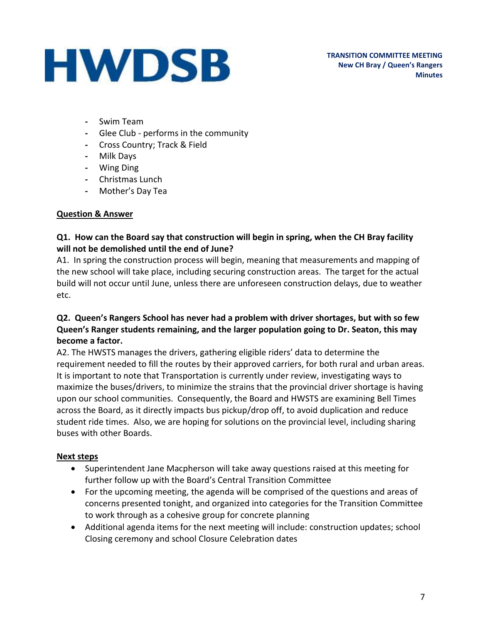**TRANSITION COMMITTEE MEETING New CH Bray / Queen's Rangers Minutes**

- **-** Swim Team
- **-** Glee Club performs in the community
- **-** Cross Country; Track & Field
- **-** Milk Days
- **-** Wing Ding
- **-** Christmas Lunch
- **-** Mother's Day Tea

#### **Question & Answer**

#### **Q1. How can the Board say that construction will begin in spring, when the CH Bray facility will not be demolished until the end of June?**

A1. In spring the construction process will begin, meaning that measurements and mapping of the new school will take place, including securing construction areas. The target for the actual build will not occur until June, unless there are unforeseen construction delays, due to weather etc.

#### **Q2. Queen's Rangers School has never had a problem with driver shortages, but with so few Queen's Ranger students remaining, and the larger population going to Dr. Seaton, this may become a factor.**

A2. The HWSTS manages the drivers, gathering eligible riders' data to determine the requirement needed to fill the routes by their approved carriers, for both rural and urban areas. It is important to note that Transportation is currently under review, investigating ways to maximize the buses/drivers, to minimize the strains that the provincial driver shortage is having upon our school communities. Consequently, the Board and HWSTS are examining Bell Times across the Board, as it directly impacts bus pickup/drop off, to avoid duplication and reduce student ride times. Also, we are hoping for solutions on the provincial level, including sharing buses with other Boards.

#### **Next steps**

- Superintendent Jane Macpherson will take away questions raised at this meeting for further follow up with the Board's Central Transition Committee
- For the upcoming meeting, the agenda will be comprised of the questions and areas of concerns presented tonight, and organized into categories for the Transition Committee to work through as a cohesive group for concrete planning
- Additional agenda items for the next meeting will include: construction updates; school Closing ceremony and school Closure Celebration dates